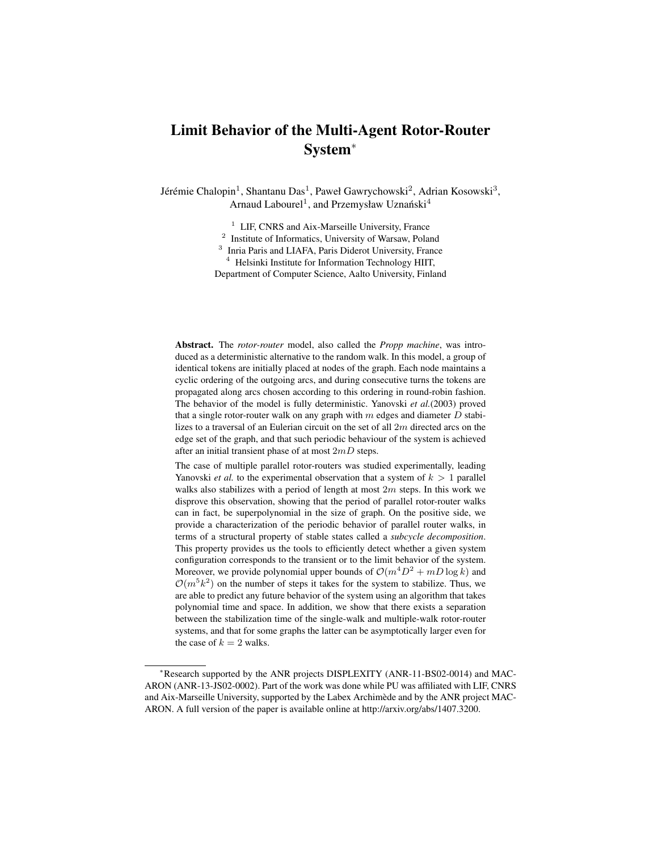# Limit Behavior of the Multi-Agent Rotor-Router System<sup>∗</sup>

Jérémie Chalopin<sup>1</sup>, Shantanu Das<sup>1</sup>, Paweł Gawrychowski<sup>2</sup>, Adrian Kosowski<sup>3</sup>, Arnaud Labourel<sup>1</sup>, and Przemysław Uznański<sup>4</sup>

<sup>1</sup> LIF, CNRS and Aix-Marseille University, France

<sup>2</sup> Institute of Informatics, University of Warsaw, Poland

<sup>3</sup> Inria Paris and LIAFA, Paris Diderot University, France

<sup>4</sup> Helsinki Institute for Information Technology HIIT,

Department of Computer Science, Aalto University, Finland

Abstract. The *rotor-router* model, also called the *Propp machine*, was introduced as a deterministic alternative to the random walk. In this model, a group of identical tokens are initially placed at nodes of the graph. Each node maintains a cyclic ordering of the outgoing arcs, and during consecutive turns the tokens are propagated along arcs chosen according to this ordering in round-robin fashion. The behavior of the model is fully deterministic. Yanovski *et al.*(2003) proved that a single rotor-router walk on any graph with  $m$  edges and diameter  $D$  stabilizes to a traversal of an Eulerian circuit on the set of all  $2m$  directed arcs on the edge set of the graph, and that such periodic behaviour of the system is achieved after an initial transient phase of at most  $2mD$  steps.

The case of multiple parallel rotor-routers was studied experimentally, leading Yanovski *et al.* to the experimental observation that a system of  $k > 1$  parallel walks also stabilizes with a period of length at most  $2m$  steps. In this work we disprove this observation, showing that the period of parallel rotor-router walks can in fact, be superpolynomial in the size of graph. On the positive side, we provide a characterization of the periodic behavior of parallel router walks, in terms of a structural property of stable states called a *subcycle decomposition*. This property provides us the tools to efficiently detect whether a given system configuration corresponds to the transient or to the limit behavior of the system. Moreover, we provide polynomial upper bounds of  $\mathcal{O}(m^4D^2 + mD\log k)$  and  $\mathcal{O}(m^5k^2)$  on the number of steps it takes for the system to stabilize. Thus, we are able to predict any future behavior of the system using an algorithm that takes polynomial time and space. In addition, we show that there exists a separation between the stabilization time of the single-walk and multiple-walk rotor-router systems, and that for some graphs the latter can be asymptotically larger even for the case of  $k = 2$  walks.

<sup>∗</sup>Research supported by the ANR projects DISPLEXITY (ANR-11-BS02-0014) and MAC-ARON (ANR-13-JS02-0002). Part of the work was done while PU was affiliated with LIF, CNRS and Aix-Marseille University, supported by the Labex Archimède and by the ANR project MAC-ARON. A full version of the paper is available online at http://arxiv.org/abs/1407.3200.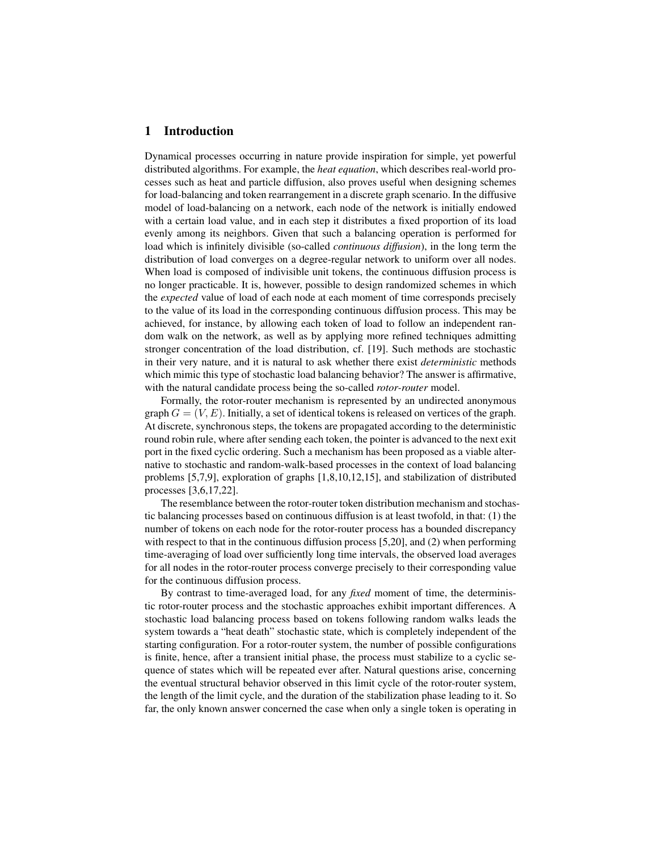# 1 Introduction

Dynamical processes occurring in nature provide inspiration for simple, yet powerful distributed algorithms. For example, the *heat equation*, which describes real-world processes such as heat and particle diffusion, also proves useful when designing schemes for load-balancing and token rearrangement in a discrete graph scenario. In the diffusive model of load-balancing on a network, each node of the network is initially endowed with a certain load value, and in each step it distributes a fixed proportion of its load evenly among its neighbors. Given that such a balancing operation is performed for load which is infinitely divisible (so-called *continuous diffusion*), in the long term the distribution of load converges on a degree-regular network to uniform over all nodes. When load is composed of indivisible unit tokens, the continuous diffusion process is no longer practicable. It is, however, possible to design randomized schemes in which the *expected* value of load of each node at each moment of time corresponds precisely to the value of its load in the corresponding continuous diffusion process. This may be achieved, for instance, by allowing each token of load to follow an independent random walk on the network, as well as by applying more refined techniques admitting stronger concentration of the load distribution, cf. [19]. Such methods are stochastic in their very nature, and it is natural to ask whether there exist *deterministic* methods which mimic this type of stochastic load balancing behavior? The answer is affirmative, with the natural candidate process being the so-called *rotor-router* model.

Formally, the rotor-router mechanism is represented by an undirected anonymous graph  $G = (V, E)$ . Initially, a set of identical tokens is released on vertices of the graph. At discrete, synchronous steps, the tokens are propagated according to the deterministic round robin rule, where after sending each token, the pointer is advanced to the next exit port in the fixed cyclic ordering. Such a mechanism has been proposed as a viable alternative to stochastic and random-walk-based processes in the context of load balancing problems [5,7,9], exploration of graphs [1,8,10,12,15], and stabilization of distributed processes [3,6,17,22].

The resemblance between the rotor-router token distribution mechanism and stochastic balancing processes based on continuous diffusion is at least twofold, in that: (1) the number of tokens on each node for the rotor-router process has a bounded discrepancy with respect to that in the continuous diffusion process [5,20], and (2) when performing time-averaging of load over sufficiently long time intervals, the observed load averages for all nodes in the rotor-router process converge precisely to their corresponding value for the continuous diffusion process.

By contrast to time-averaged load, for any *fixed* moment of time, the deterministic rotor-router process and the stochastic approaches exhibit important differences. A stochastic load balancing process based on tokens following random walks leads the system towards a "heat death" stochastic state, which is completely independent of the starting configuration. For a rotor-router system, the number of possible configurations is finite, hence, after a transient initial phase, the process must stabilize to a cyclic sequence of states which will be repeated ever after. Natural questions arise, concerning the eventual structural behavior observed in this limit cycle of the rotor-router system, the length of the limit cycle, and the duration of the stabilization phase leading to it. So far, the only known answer concerned the case when only a single token is operating in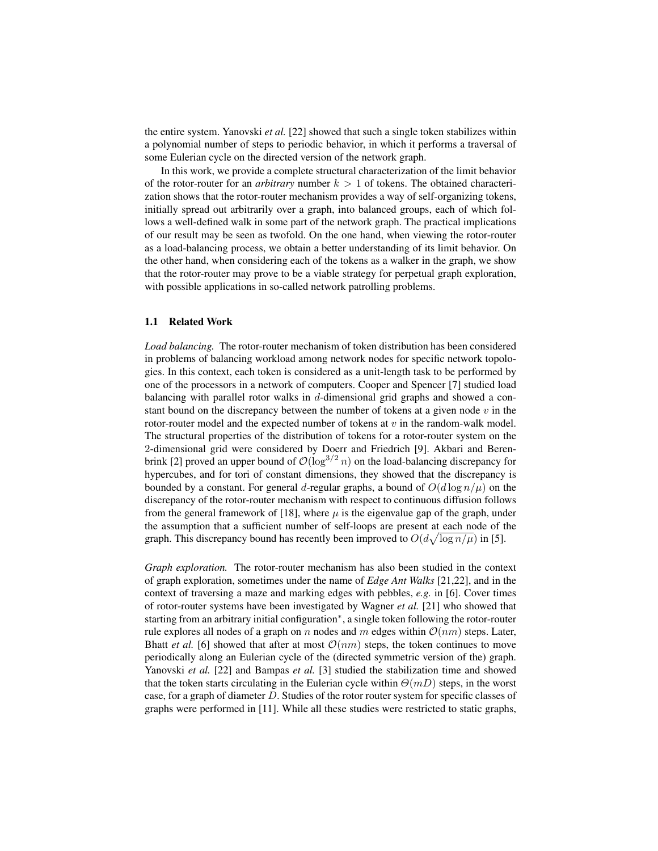the entire system. Yanovski *et al.* [22] showed that such a single token stabilizes within a polynomial number of steps to periodic behavior, in which it performs a traversal of some Eulerian cycle on the directed version of the network graph.

In this work, we provide a complete structural characterization of the limit behavior of the rotor-router for an *arbitrary* number  $k > 1$  of tokens. The obtained characterization shows that the rotor-router mechanism provides a way of self-organizing tokens, initially spread out arbitrarily over a graph, into balanced groups, each of which follows a well-defined walk in some part of the network graph. The practical implications of our result may be seen as twofold. On the one hand, when viewing the rotor-router as a load-balancing process, we obtain a better understanding of its limit behavior. On the other hand, when considering each of the tokens as a walker in the graph, we show that the rotor-router may prove to be a viable strategy for perpetual graph exploration, with possible applications in so-called network patrolling problems.

#### 1.1 Related Work

*Load balancing.* The rotor-router mechanism of token distribution has been considered in problems of balancing workload among network nodes for specific network topologies. In this context, each token is considered as a unit-length task to be performed by one of the processors in a network of computers. Cooper and Spencer [7] studied load balancing with parallel rotor walks in d-dimensional grid graphs and showed a constant bound on the discrepancy between the number of tokens at a given node  $v$  in the rotor-router model and the expected number of tokens at  $v$  in the random-walk model. The structural properties of the distribution of tokens for a rotor-router system on the 2-dimensional grid were considered by Doerr and Friedrich [9]. Akbari and Berenbrink [2] proved an upper bound of  $\mathcal{O}(\log^{3/2} n)$  on the load-balancing discrepancy for hypercubes, and for tori of constant dimensions, they showed that the discrepancy is bounded by a constant. For general d-regular graphs, a bound of  $O(d \log n/\mu)$  on the discrepancy of the rotor-router mechanism with respect to continuous diffusion follows from the general framework of [18], where  $\mu$  is the eigenvalue gap of the graph, under the assumption that a sufficient number of self-loops are present at each node of the graph. This discrepancy bound has recently been improved to  $O(d\sqrt{\log n/\mu})$  in [5].

*Graph exploration.* The rotor-router mechanism has also been studied in the context of graph exploration, sometimes under the name of *Edge Ant Walks* [21,22], and in the context of traversing a maze and marking edges with pebbles, *e.g.* in [6]. Cover times of rotor-router systems have been investigated by Wagner *et al.* [21] who showed that starting from an arbitrary initial configuration<sup>∗</sup> , a single token following the rotor-router rule explores all nodes of a graph on n nodes and m edges within  $\mathcal{O}(nm)$  steps. Later, Bhatt *et al.* [6] showed that after at most  $\mathcal{O}(nm)$  steps, the token continues to move periodically along an Eulerian cycle of the (directed symmetric version of the) graph. Yanovski *et al.* [22] and Bampas *et al.* [3] studied the stabilization time and showed that the token starts circulating in the Eulerian cycle within  $\Theta(mD)$  steps, in the worst case, for a graph of diameter D. Studies of the rotor router system for specific classes of graphs were performed in [11]. While all these studies were restricted to static graphs,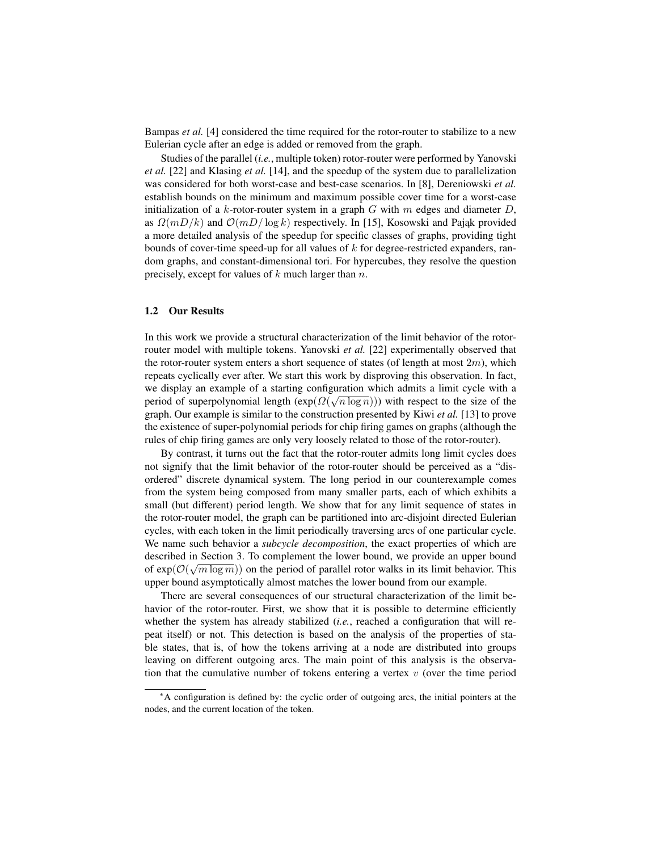Bampas *et al.* [4] considered the time required for the rotor-router to stabilize to a new Eulerian cycle after an edge is added or removed from the graph.

Studies of the parallel (*i.e.*, multiple token) rotor-router were performed by Yanovski *et al.* [22] and Klasing *et al.* [14], and the speedup of the system due to parallelization was considered for both worst-case and best-case scenarios. In [8], Dereniowski *et al.* establish bounds on the minimum and maximum possible cover time for a worst-case initialization of a k-rotor-router system in a graph G with m edges and diameter  $D$ , as  $\Omega(mD/k)$  and  $\mathcal{O}(mD/\log k)$  respectively. In [15], Kosowski and Pajak provided a more detailed analysis of the speedup for specific classes of graphs, providing tight bounds of cover-time speed-up for all values of  $k$  for degree-restricted expanders, random graphs, and constant-dimensional tori. For hypercubes, they resolve the question precisely, except for values of  $k$  much larger than  $n$ .

#### 1.2 Our Results

In this work we provide a structural characterization of the limit behavior of the rotorrouter model with multiple tokens. Yanovski *et al.* [22] experimentally observed that the rotor-router system enters a short sequence of states (of length at most  $2m$ ), which repeats cyclically ever after. We start this work by disproving this observation. In fact, we display an example of a starting configuration which admits a limit cycle with a period of superpolynomial length  $(\exp(\Omega(\sqrt{n \log n})))$  with respect to the size of the graph. Our example is similar to the construction presented by Kiwi *et al.* [13] to prove the existence of super-polynomial periods for chip firing games on graphs (although the rules of chip firing games are only very loosely related to those of the rotor-router).

By contrast, it turns out the fact that the rotor-router admits long limit cycles does not signify that the limit behavior of the rotor-router should be perceived as a "disordered" discrete dynamical system. The long period in our counterexample comes from the system being composed from many smaller parts, each of which exhibits a small (but different) period length. We show that for any limit sequence of states in the rotor-router model, the graph can be partitioned into arc-disjoint directed Eulerian cycles, with each token in the limit periodically traversing arcs of one particular cycle. We name such behavior a *subcycle decomposition*, the exact properties of which are described in Section 3. To complement the lower bound, we provide an upper bound of  $exp(\mathcal{O}(\sqrt{m \log m}))$  on the period of parallel rotor walks in its limit behavior. This upper bound asymptotically almost matches the lower bound from our example.

There are several consequences of our structural characterization of the limit behavior of the rotor-router. First, we show that it is possible to determine efficiently whether the system has already stabilized (*i.e.*, reached a configuration that will repeat itself) or not. This detection is based on the analysis of the properties of stable states, that is, of how the tokens arriving at a node are distributed into groups leaving on different outgoing arcs. The main point of this analysis is the observation that the cumulative number of tokens entering a vertex  $v$  (over the time period

<sup>∗</sup>A configuration is defined by: the cyclic order of outgoing arcs, the initial pointers at the nodes, and the current location of the token.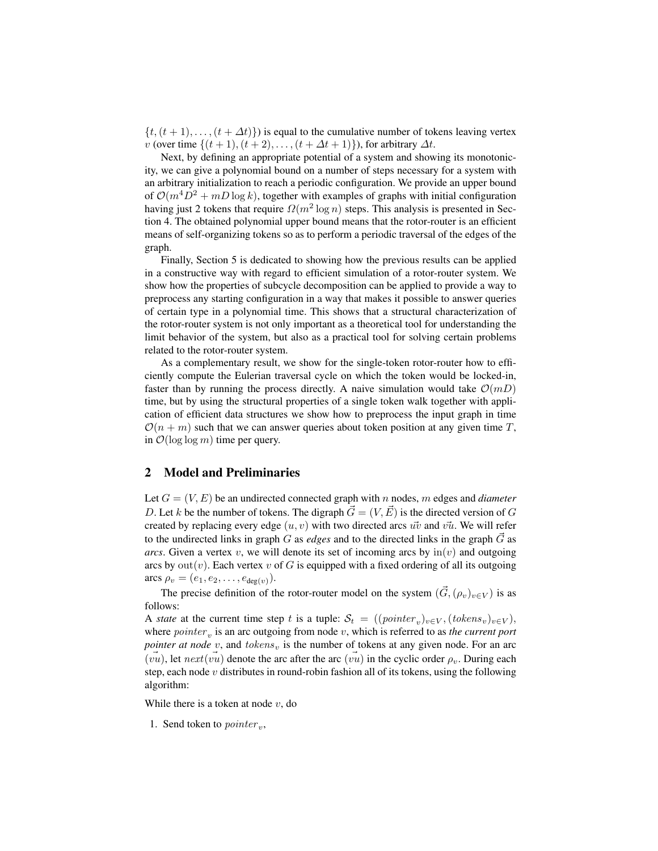$\{t, (t + 1), \ldots, (t + \Delta t)\}\$  is equal to the cumulative number of tokens leaving vertex v (over time  $\{(t+1), (t+2), \ldots, (t+\Delta t+1)\}\)$ , for arbitrary  $\Delta t$ .

Next, by defining an appropriate potential of a system and showing its monotonicity, we can give a polynomial bound on a number of steps necessary for a system with an arbitrary initialization to reach a periodic configuration. We provide an upper bound of  $\mathcal{O}(m^4D^2 + mD \log k)$ , together with examples of graphs with initial configuration having just 2 tokens that require  $\Omega(m^2 \log n)$  steps. This analysis is presented in Section 4. The obtained polynomial upper bound means that the rotor-router is an efficient means of self-organizing tokens so as to perform a periodic traversal of the edges of the graph.

Finally, Section 5 is dedicated to showing how the previous results can be applied in a constructive way with regard to efficient simulation of a rotor-router system. We show how the properties of subcycle decomposition can be applied to provide a way to preprocess any starting configuration in a way that makes it possible to answer queries of certain type in a polynomial time. This shows that a structural characterization of the rotor-router system is not only important as a theoretical tool for understanding the limit behavior of the system, but also as a practical tool for solving certain problems related to the rotor-router system.

As a complementary result, we show for the single-token rotor-router how to efficiently compute the Eulerian traversal cycle on which the token would be locked-in, faster than by running the process directly. A naive simulation would take  $\mathcal{O}(mD)$ time, but by using the structural properties of a single token walk together with application of efficient data structures we show how to preprocess the input graph in time  $\mathcal{O}(n+m)$  such that we can answer queries about token position at any given time T, in  $\mathcal{O}(\log \log m)$  time per query.

# 2 Model and Preliminaries

Let  $G = (V, E)$  be an undirected connected graph with n nodes, m edges and *diameter* D. Let k be the number of tokens. The digraph  $\vec{G} = (V, \vec{E})$  is the directed version of G created by replacing every edge  $(u, v)$  with two directed arcs  $u\overline{v}$  and  $v\overline{u}$ . We will refer to the undirected links in graph G as *edges* and to the directed links in the graph  $\vec{G}$  as *arcs*. Given a vertex v, we will denote its set of incoming arcs by  $\text{in}(v)$  and outgoing arcs by  $out(v)$ . Each vertex v of G is equipped with a fixed ordering of all its outgoing arcs  $\rho_v = (e_1, e_2, \dots, e_{\deg(v)})$ .

The precise definition of the rotor-router model on the system  $(\vec{G}, (\rho_v)_{v \in V})$  is as follows:

A *state* at the current time step t is a tuple:  $S_t = ((\text{pointer}_v)_{v \in V}, (\text{tokens}_v)_{v \in V}),$ where  $\textit{pointer}_v$  is an arc outgoing from node  $v$ , which is referred to as *the current port pointer at node*  $v$ , and  $tokens_v$  is the number of tokens at any given node. For an arc  $(vu)$ , let  $next(vu)$  denote the arc after the arc  $(vu)$  in the cyclic order  $\rho_v$ . During each step, each node v distributes in round-robin fashion all of its tokens, using the following algorithm:

While there is a token at node  $v$ , do

1. Send token to  $\textit{pointer}_v$ ,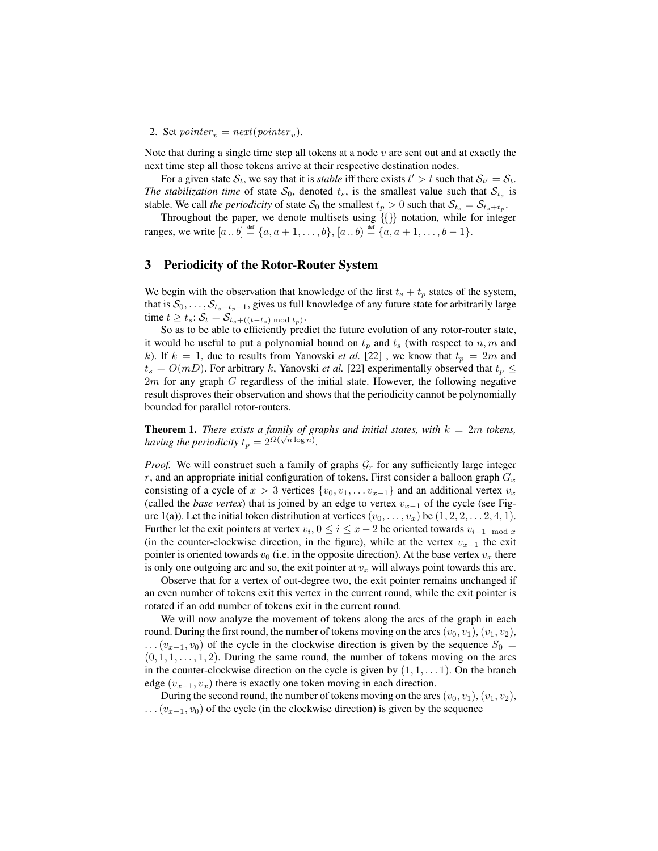# 2. Set  $\textit{pointer}_v = \textit{next}(\textit{pointer}_v)$ .

Note that during a single time step all tokens at a node  $v$  are sent out and at exactly the next time step all those tokens arrive at their respective destination nodes.

For a given state  $S_t$ , we say that it is *stable* iff there exists  $t' > t$  such that  $S_{t'} = S_t$ . *The stabilization time* of state  $S_0$ , denoted  $t_s$ , is the smallest value such that  $S_{t_s}$  is stable. We call *the periodicity* of state  $S_0$  the smallest  $t_p > 0$  such that  $S_{t_s} = S_{t_s + t_p}$ .

Throughout the paper, we denote multisets using {{}} notation, while for integer ranges, we write  $[a \dots b] \stackrel{\text{def}}{=} \{a, a+1, \dots, b\}, [a \dots b) \stackrel{\text{def}}{=} \{a, a+1, \dots, b-1\}.$ 

### 3 Periodicity of the Rotor-Router System

We begin with the observation that knowledge of the first  $t_s + t_p$  states of the system, that is  $S_0, \ldots, S_{t_s+t_p-1}$ , gives us full knowledge of any future state for arbitrarily large time  $t \geq t_s$ :  $\mathcal{S}_t = \mathcal{S}_{t_s+((t-t_s) \bmod t_p)}$ .

So as to be able to efficiently predict the future evolution of any rotor-router state, it would be useful to put a polynomial bound on  $t_p$  and  $t_s$  (with respect to  $n, m$  and k). If  $k = 1$ , due to results from Yanovski *et al.* [22], we know that  $t_p = 2m$  and  $t_s = O(mD)$ . For arbitrary k, Yanovski *et al.* [22] experimentally observed that  $t_p \leq$  $2m$  for any graph  $G$  regardless of the initial state. However, the following negative result disproves their observation and shows that the periodicity cannot be polynomially bounded for parallel rotor-routers.

**Theorem 1.** *There exists a family of graphs and initial states, with*  $k = 2m$  *tokens, having the periodicity*  $t_p = 2^{\Omega(\sqrt{n \log n})}$ .

*Proof.* We will construct such a family of graphs  $G_r$  for any sufficiently large integer r, and an appropriate initial configuration of tokens. First consider a balloon graph  $G_x$ consisting of a cycle of  $x > 3$  vertices  $\{v_0, v_1, \ldots v_{x-1}\}$  and an additional vertex  $v_x$ (called the *base vertex*) that is joined by an edge to vertex  $v_{x-1}$  of the cycle (see Figure 1(a)). Let the initial token distribution at vertices  $(v_0, \ldots, v_x)$  be  $(1, 2, 2, \ldots, 2, 4, 1)$ . Further let the exit pointers at vertex  $v_i$ ,  $0 \le i \le x - 2$  be oriented towards  $v_{i-1 \mod x}$ (in the counter-clockwise direction, in the figure), while at the vertex  $v_{x-1}$  the exit pointer is oriented towards  $v_0$  (i.e. in the opposite direction). At the base vertex  $v_x$  there is only one outgoing arc and so, the exit pointer at  $v_x$  will always point towards this arc.

Observe that for a vertex of out-degree two, the exit pointer remains unchanged if an even number of tokens exit this vertex in the current round, while the exit pointer is rotated if an odd number of tokens exit in the current round.

We will now analyze the movement of tokens along the arcs of the graph in each round. During the first round, the number of tokens moving on the arcs  $(v_0, v_1), (v_1, v_2)$ ,  $\dots (v_{x-1}, v_0)$  of the cycle in the clockwise direction is given by the sequence  $S_0 =$  $(0, 1, 1, \ldots, 1, 2)$ . During the same round, the number of tokens moving on the arcs in the counter-clockwise direction on the cycle is given by  $(1, 1, \ldots, 1)$ . On the branch edge ( $v_{x-1}, v_x$ ) there is exactly one token moving in each direction.

During the second round, the number of tokens moving on the arcs  $(v_0, v_1)$ ,  $(v_1, v_2)$ ,  $\dots$  ( $v_{x-1}, v_0$ ) of the cycle (in the clockwise direction) is given by the sequence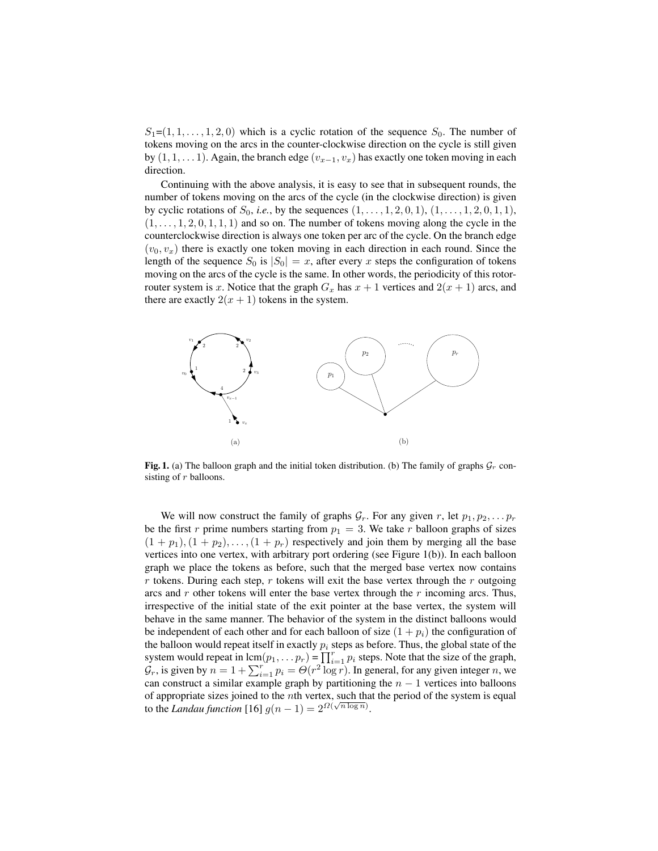$S_1=(1,1,\ldots,1,2,0)$  which is a cyclic rotation of the sequence  $S_0$ . The number of tokens moving on the arcs in the counter-clockwise direction on the cycle is still given by  $(1, 1, \ldots 1)$ . Again, the branch edge  $(v_{x-1}, v_x)$  has exactly one token moving in each direction.

Continuing with the above analysis, it is easy to see that in subsequent rounds, the number of tokens moving on the arcs of the cycle (in the clockwise direction) is given by cyclic rotations of  $S_0$ , *i.e.*, by the sequences  $(1, \ldots, 1, 2, 0, 1), (1, \ldots, 1, 2, 0, 1, 1)$ ,  $(1, \ldots, 1, 2, 0, 1, 1, 1)$  and so on. The number of tokens moving along the cycle in the counterclockwise direction is always one token per arc of the cycle. On the branch edge  $(v_0, v_x)$  there is exactly one token moving in each direction in each round. Since the length of the sequence  $S_0$  is  $|S_0| = x$ , after every x steps the configuration of tokens moving on the arcs of the cycle is the same. In other words, the periodicity of this rotorrouter system is x. Notice that the graph  $G_x$  has  $x + 1$  vertices and  $2(x + 1)$  arcs, and there are exactly  $2(x + 1)$  tokens in the system.



Fig. 1. (a) The balloon graph and the initial token distribution. (b) The family of graphs  $\mathcal{G}_r$  consisting of  $r$  balloons.

We will now construct the family of graphs  $\mathcal{G}_r$ . For any given r, let  $p_1, p_2, \ldots p_r$ be the first r prime numbers starting from  $p_1 = 3$ . We take r balloon graphs of sizes  $(1 + p_1), (1 + p_2), \ldots, (1 + p_r)$  respectively and join them by merging all the base vertices into one vertex, with arbitrary port ordering (see Figure 1(b)). In each balloon graph we place the tokens as before, such that the merged base vertex now contains r tokens. During each step, r tokens will exit the base vertex through the r outgoing arcs and r other tokens will enter the base vertex through the r incoming arcs. Thus, irrespective of the initial state of the exit pointer at the base vertex, the system will behave in the same manner. The behavior of the system in the distinct balloons would be independent of each other and for each balloon of size  $(1 + p_i)$  the configuration of the balloon would repeat itself in exactly  $p_i$  steps as before. Thus, the global state of the system would repeat in  $\text{lcm}(p_1, \ldots p_r) = \prod_{i=1}^r p_i$  steps. Note that the size of the graph,  $\mathcal{G}_r$ , is given by  $n = 1 + \sum_{i=1}^r p_i = \Theta(r^2 \log r)$ . In general, for any given integer n, we can construct a similar example graph by partitioning the  $n - 1$  vertices into balloons of appropriate sizes joined to the  $n$ th vertex, such that the period of the system is equal to the *Landau function* [16]  $g(n-1) = 2^{\Omega(\sqrt{n \log n})}$ .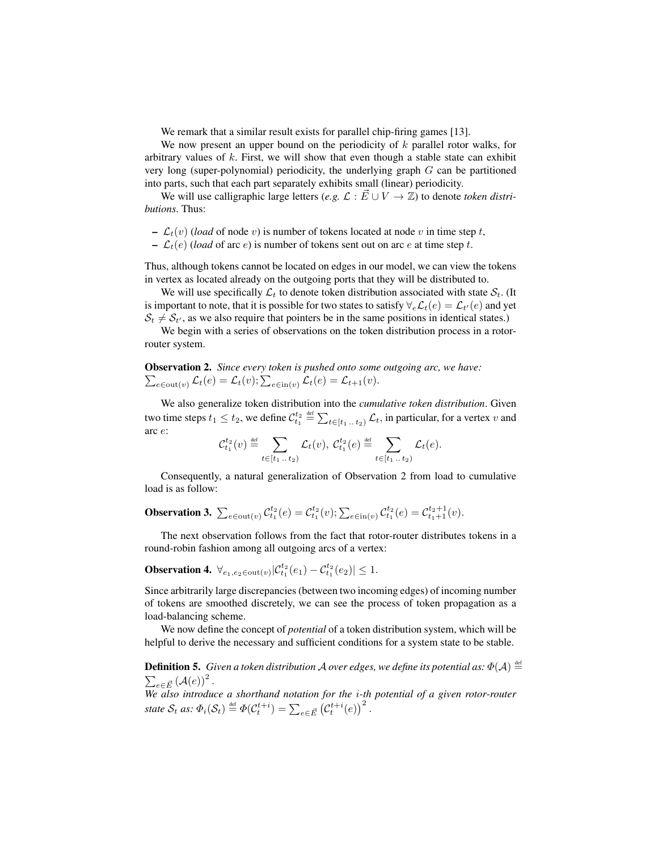We remark that a similar result exists for parallel chip-firing games [13].

We now present an upper bound on the periodicity of  $k$  parallel rotor walks, for arbitrary values of  $k$ . First, we will show that even though a stable state can exhibit very long (super-polynomial) periodicity, the underlying graph  $G$  can be partitioned into parts, such that each part separately exhibits small (linear) periodicity.

We will use calligraphic large letters (*e.g.*  $\mathcal{L} : \vec{E} \cup V \to \mathbb{Z}$ ) to denote *token distributions*. Thus:

- $\mathcal{L}_t(v)$  (*load* of node v) is number of tokens located at node v in time step t,
- $-\mathcal{L}_t(e)$  (*load* of arc e) is number of tokens sent out on arc e at time step t.

Thus, although tokens cannot be located on edges in our model, we can view the tokens in vertex as located already on the outgoing ports that they will be distributed to.

We will use specifically  $\mathcal{L}_t$  to denote token distribution associated with state  $\mathcal{S}_t$ . (It is important to note, that it is possible for two states to satisfy  $\forall_e\mathcal{L}_t(e)=\mathcal{L}_{t'}(e)$  and yet  $S_t \neq S_{t'}$ , as we also require that pointers be in the same positions in identical states.)

We begin with a series of observations on the token distribution process in a rotorrouter system.

Observation 2. *Since every token is pushed onto some outgoing arc, we have:*  $\sum_{e \in \text{out}(v)} \mathcal{L}_t(e) = \mathcal{L}_t(v); \sum_{e \in \text{in}(v)} \mathcal{L}_t(e) = \mathcal{L}_{t+1}(v).$ 

We also generalize token distribution into the *cumulative token distribution*. Given two time steps  $t_1 \le t_2$ , we define  $\mathcal{C}^{t_2}_{t_1} \stackrel{\text{def}}{=} \sum_{t \in [t_1 \dots t_2)} \mathcal{L}_t$ , in particular, for a vertex  $v$  and arc e:

$$
\mathcal{C}_{t_1}^{t_2}(v) \stackrel{\text{def}}{=} \sum_{t \in [t_1 \dots t_2)} \mathcal{L}_t(v), \ \mathcal{C}_{t_1}^{t_2}(e) \stackrel{\text{def}}{=} \sum_{t \in [t_1 \dots t_2)} \mathcal{L}_t(e).
$$

Consequently, a natural generalization of Observation 2 from load to cumulative load is as follow:

**Observation 3.** 
$$
\sum_{e \in \text{out}(v)} C_{t_1}^{t_2}(e) = C_{t_1}^{t_2}(v); \sum_{e \in \text{in}(v)} C_{t_1}^{t_2}(e) = C_{t_1+1}^{t_2+1}(v).
$$

The next observation follows from the fact that rotor-router distributes tokens in a round-robin fashion among all outgoing arcs of a vertex:

**Observation 4.**  $\forall_{e_1, e_2 \in \text{out}(v)} | C^{t_2}_{t_1}(e_1) - C^{t_2}_{t_1}(e_2) | \leq 1.$ 

Since arbitrarily large discrepancies (between two incoming edges) of incoming number of tokens are smoothed discretely, we can see the process of token propagation as a load-balancing scheme.

We now define the concept of *potential* of a token distribution system, which will be helpful to derive the necessary and sufficient conditions for a system state to be stable.

**Definition 5.** Given a token distribution A over edges, we define its potential as:  $\Phi(\mathcal{A}) \stackrel{\text{def}}{=}$  $\sum_{e\in\vec{E}}\left(\mathcal{A}(e)\right)^2.$ 

*We also introduce a shorthand notation for the* i*-th potential of a given rotor-router* state  $S_t$  as:  $\Phi_i(S_t) \stackrel{\text{def}}{=} \Phi(\mathcal{C}_t^{t+i}) = \sum_{e \in \vec{E}} (\mathcal{C}_t^{t+i}(e))^2$ .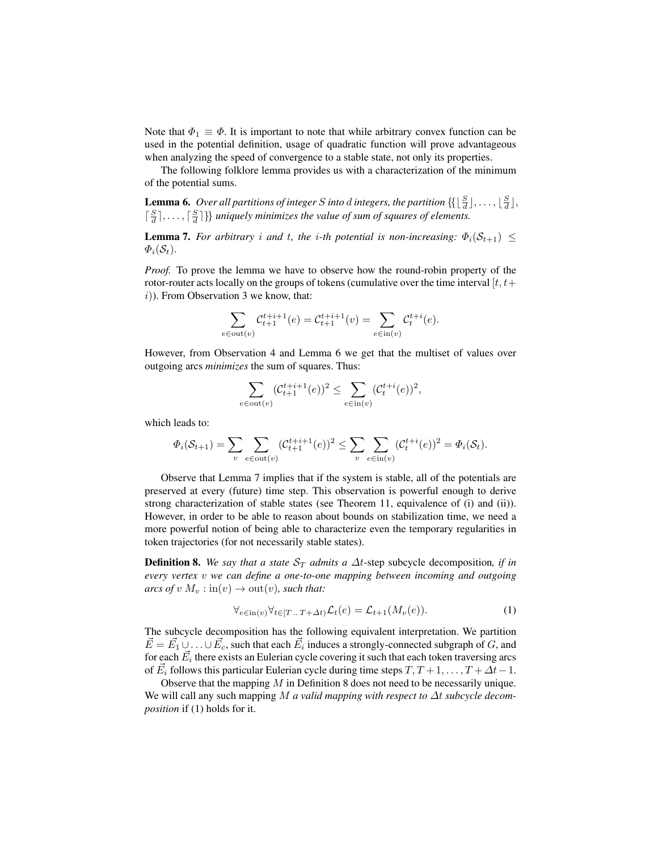Note that  $\Phi_1 \equiv \Phi$ . It is important to note that while arbitrary convex function can be used in the potential definition, usage of quadratic function will prove advantageous when analyzing the speed of convergence to a stable state, not only its properties.

The following folklore lemma provides us with a characterization of the minimum of the potential sums.

**Lemma 6.** Over all partitions of integer S into d integers, the partition  $\{[\frac{S}{d}], \ldots, [\frac{S}{d}],\}$  $\lceil \frac{S}{d} \rceil, \ldots, \lceil \frac{S}{d} \rceil$ } *uniquely minimizes the value of sum of squares of elements.* 

**Lemma 7.** *For arbitrary i and t, the i-th potential is non-increasing:*  $\Phi_i(\mathcal{S}_{t+1}) \leq$  $\Phi_i(\mathcal{S}_t)$ .

*Proof.* To prove the lemma we have to observe how the round-robin property of the rotor-router acts locally on the groups of tokens (cumulative over the time interval  $[t, t+$  $(i)$ ). From Observation 3 we know, that:

$$
\sum_{e \in \text{out}(v)} \mathcal{C}_{t+1}^{t+i+1}(e) = \mathcal{C}_{t+1}^{t+i+1}(v) = \sum_{e \in \text{in}(v)} \mathcal{C}_{t}^{t+i}(e).
$$

However, from Observation 4 and Lemma 6 we get that the multiset of values over outgoing arcs *minimizes* the sum of squares. Thus:

$$
\sum_{e \in \text{out}(v)} (\mathcal{C}_{t+1}^{t+i+1}(e))^2 \le \sum_{e \in \text{in}(v)} (\mathcal{C}_t^{t+i}(e))^2,
$$

which leads to:

$$
\Phi_i(\mathcal{S}_{t+1}) = \sum_{v} \sum_{e \in \text{out}(v)} (\mathcal{C}_{t+1}^{t+i+1}(e))^2 \le \sum_{v} \sum_{e \in \text{in}(v)} (\mathcal{C}_t^{t+i}(e))^2 = \Phi_i(\mathcal{S}_t).
$$

Observe that Lemma 7 implies that if the system is stable, all of the potentials are preserved at every (future) time step. This observation is powerful enough to derive strong characterization of stable states (see Theorem 11, equivalence of (i) and (ii)). However, in order to be able to reason about bounds on stabilization time, we need a more powerful notion of being able to characterize even the temporary regularities in token trajectories (for not necessarily stable states).

**Definition 8.** *We say that a state*  $S_T$  *admits a*  $\Delta t$ -step subcycle decomposition, *if in every vertex* v *we can define a one-to-one mapping between incoming and outgoing arcs of*  $v M_v : \text{in}(v) \to \text{out}(v)$ *, such that:* 

$$
\forall_{e \in \text{in}(v)} \forall_{t \in [T \dots T + \Delta t)} \mathcal{L}_t(e) = \mathcal{L}_{t+1}(M_v(e)). \tag{1}
$$

The subcycle decomposition has the following equivalent interpretation. We partition  $\vec{E} = \vec{E_1} \cup \ldots \cup \vec{E_c}$ , such that each  $\vec{E_i}$  induces a strongly-connected subgraph of G, and for each  $\vec{E_i}$  there exists an Eulerian cycle covering it such that each token traversing arcs of  $\vec{E}_i$  follows this particular Eulerian cycle during time steps  $T, T+1, \ldots, T+\Delta t-1$ .

Observe that the mapping M in Definition 8 does not need to be necessarily unique. We will call any such mapping M *a valid mapping with respect to* ∆t *subcycle decomposition* if (1) holds for it.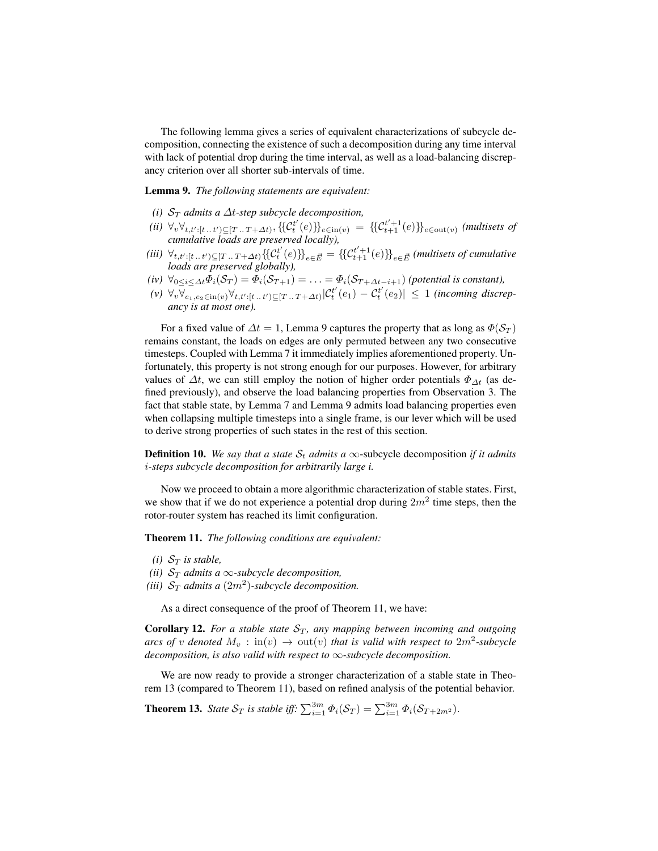The following lemma gives a series of equivalent characterizations of subcycle decomposition, connecting the existence of such a decomposition during any time interval with lack of potential drop during the time interval, as well as a load-balancing discrepancy criterion over all shorter sub-intervals of time.

Lemma 9. *The following statements are equivalent:*

- *(i)*  $S_T$  *admits a*  $\Delta t$ -step subcycle decomposition,
- $(iii) \ \forall v \forall_{t,t':[t..t') \subseteq [T..T+∆t)}, \{\{\mathcal{C}_t^{t'}(e)\}\}_{e \in in(v)} = \{\{\mathcal{C}_{t+1}^{t'+1}(e)\}\}_{e \in out(v)}$  (multisets of *cumulative loads are preserved locally),*
- (*iii*)  $\forall_{t,t':[t..t') \subseteq [T..T+∆t)} \{\!\{C_t^{t'}(e)\}\!\}_{e \in \vec{E}} = \{\{C_{t+1}^{t'+1}(e)\}\!\}_{e \in \vec{E}}$  (*multisets of cumulative loads are preserved globally)*,
- *(iv)*  $\forall_{0 \leq i \leq \Delta t} \Phi_i(\mathcal{S}_T) = \Phi_i(\mathcal{S}_{T+1}) = \ldots = \Phi_i(\mathcal{S}_{T+\Delta t-i+1})$  *(potential is constant),*
- $(v) \ \forall_{v} \overline{\forall_{e_1, e_2 \in in(v)} \forall_{t, t': [t \dots t']} \subseteq [T \dots T + \Delta t]} \vert C_t^{t'}(e_1) C_t^{t'}(e_2) \vert \leq 1$  *(incoming discrepancy is at most one).*

For a fixed value of  $\Delta t = 1$ , Lemma 9 captures the property that as long as  $\Phi(S_T)$ remains constant, the loads on edges are only permuted between any two consecutive timesteps. Coupled with Lemma 7 it immediately implies aforementioned property. Unfortunately, this property is not strong enough for our purposes. However, for arbitrary values of  $\Delta t$ , we can still employ the notion of higher order potentials  $\Phi_{\Delta t}$  (as defined previously), and observe the load balancing properties from Observation 3. The fact that stable state, by Lemma 7 and Lemma 9 admits load balancing properties even when collapsing multiple timesteps into a single frame, is our lever which will be used to derive strong properties of such states in the rest of this section.

**Definition 10.** We say that a state  $S_t$  admits a  $\infty$ -subcycle decomposition *if it admits* i*-steps subcycle decomposition for arbitrarily large i.*

Now we proceed to obtain a more algorithmic characterization of stable states. First, we show that if we do not experience a potential drop during  $2m^2$  time steps, then the rotor-router system has reached its limit configuration.

Theorem 11. *The following conditions are equivalent:*

- *(i)*  $S_T$  *is stable,*
- *(ii)*  $S_T$  *admits a*  $\infty$ *-subcycle decomposition,*
- *(iii)*  $S_T$  *admits a*  $(2m^2)$ *-subcycle decomposition.*

As a direct consequence of the proof of Theorem 11, we have:

**Corollary 12.** *For a stable state*  $S_T$ *, any mapping between incoming and outgoing arcs of v denoted*  $M_v$  :  $\text{in}(v) \rightarrow \text{out}(v)$  *that is valid with respect to*  $2m^2$ -subcycle *decomposition, is also valid with respect to* ∞*-subcycle decomposition.*

We are now ready to provide a stronger characterization of a stable state in Theorem 13 (compared to Theorem 11), based on refined analysis of the potential behavior.

**Theorem 13.** *State*  $S_T$  *is stable iff:*  $\sum_{i=1}^{3m} \Phi_i(S_T) = \sum_{i=1}^{3m} \Phi_i(S_{T+2m^2})$ .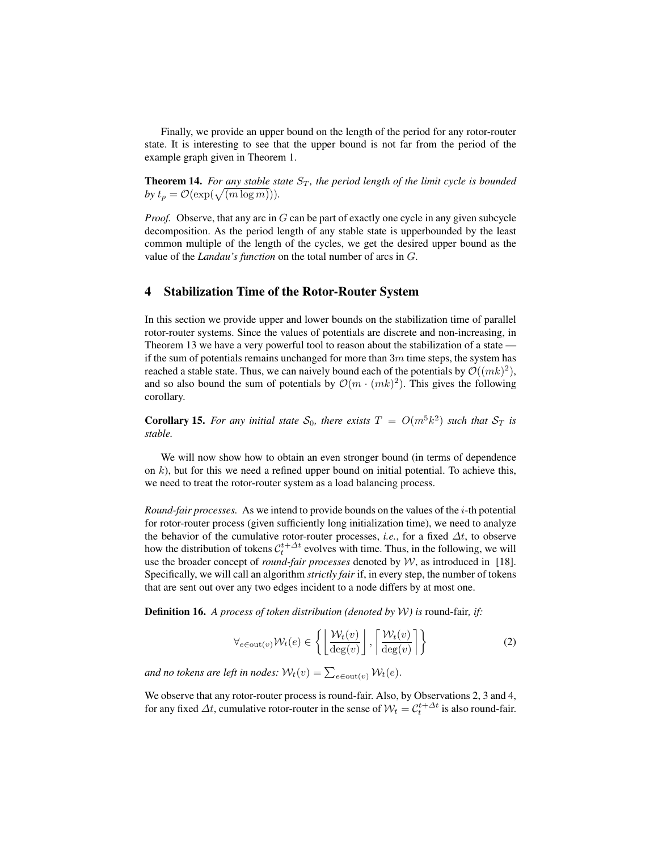Finally, we provide an upper bound on the length of the period for any rotor-router state. It is interesting to see that the upper bound is not far from the period of the example graph given in Theorem 1.

**Theorem 14.** For any stable state  $S_T$ , the period length of the limit cycle is bounded by  $t_p = \mathcal{O}(\exp(\sqrt{(m \log m)})).$ 

*Proof.* Observe, that any arc in G can be part of exactly one cycle in any given subcycle decomposition. As the period length of any stable state is upperbounded by the least common multiple of the length of the cycles, we get the desired upper bound as the value of the *Landau's function* on the total number of arcs in G.

## 4 Stabilization Time of the Rotor-Router System

In this section we provide upper and lower bounds on the stabilization time of parallel rotor-router systems. Since the values of potentials are discrete and non-increasing, in Theorem 13 we have a very powerful tool to reason about the stabilization of a state if the sum of potentials remains unchanged for more than  $3m$  time steps, the system has reached a stable state. Thus, we can naively bound each of the potentials by  $\mathcal{O}((mk)^2)$ , and so also bound the sum of potentials by  $\mathcal{O}(m \cdot (mk)^2)$ . This gives the following corollary.

**Corollary 15.** For any initial state  $S_0$ , there exists  $T = O(m^5 k^2)$  such that  $S_T$  is *stable.*

We will now show how to obtain an even stronger bound (in terms of dependence on  $k$ ), but for this we need a refined upper bound on initial potential. To achieve this, we need to treat the rotor-router system as a load balancing process.

*Round-fair processes.* As we intend to provide bounds on the values of the  $i$ -th potential for rotor-router process (given sufficiently long initialization time), we need to analyze the behavior of the cumulative rotor-router processes, *i.e.*, for a fixed  $\Delta t$ , to observe how the distribution of tokens  $\mathcal{C}_t^{t+\Delta t}$  evolves with time. Thus, in the following, we will use the broader concept of *round-fair processes* denoted by W, as introduced in [18]. Specifically, we will call an algorithm *strictly fair* if, in every step, the number of tokens that are sent out over any two edges incident to a node differs by at most one.

Definition 16. *A process of token distribution (denoted by* W*) is* round-fair*, if:*

$$
\forall_{e \in \text{out}(v)} \mathcal{W}_t(e) \in \left\{ \left\lfloor \frac{\mathcal{W}_t(v)}{\deg(v)} \right\rfloor, \left\lceil \frac{\mathcal{W}_t(v)}{\deg(v)} \right\rceil \right\} \tag{2}
$$

and no tokens are left in nodes:  $\mathcal{W}_t(v) = \sum_{e \in \text{out}(v)} \mathcal{W}_t(e)$ .

We observe that any rotor-router process is round-fair. Also, by Observations 2, 3 and 4, for any fixed  $\Delta t$ , cumulative rotor-router in the sense of  $W_t = C_t^{t + \Delta t}$  is also round-fair.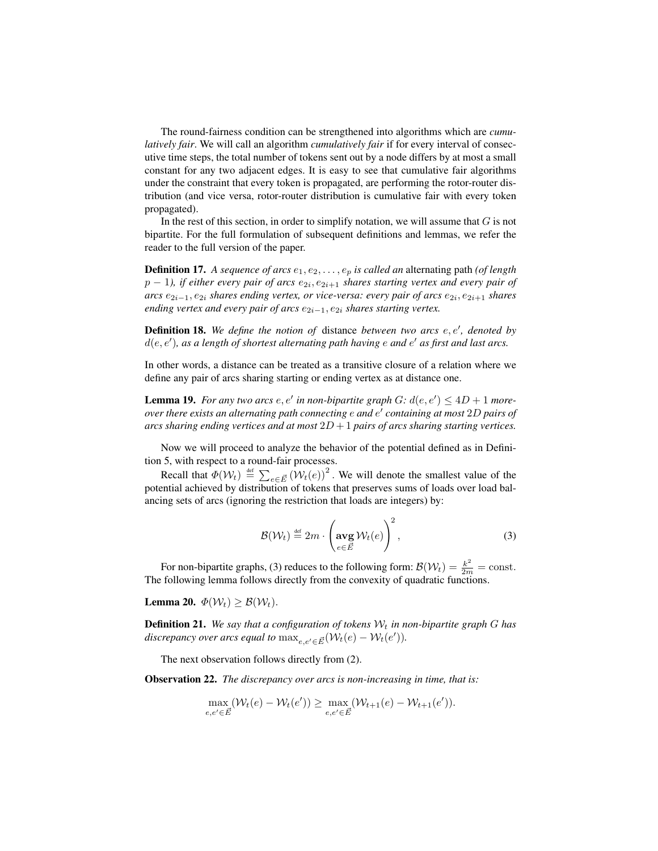The round-fairness condition can be strengthened into algorithms which are *cumulatively fair*. We will call an algorithm *cumulatively fair* if for every interval of consecutive time steps, the total number of tokens sent out by a node differs by at most a small constant for any two adjacent edges. It is easy to see that cumulative fair algorithms under the constraint that every token is propagated, are performing the rotor-router distribution (and vice versa, rotor-router distribution is cumulative fair with every token propagated).

In the rest of this section, in order to simplify notation, we will assume that  $G$  is not bipartite. For the full formulation of subsequent definitions and lemmas, we refer the reader to the full version of the paper.

**Definition 17.** A sequence of arcs  $e_1, e_2, \ldots, e_p$  is called an alternating path (of length  $p-1$ ), if either every pair of arcs  $e_{2i}, e_{2i+1}$  shares starting vertex and every pair of *arcs*  $e_{2i-1}, e_{2i}$  *shares ending vertex, or vice-versa: every pair of arcs*  $e_{2i}, e_{2i+1}$  *shares ending vertex and every pair of arcs*  $e_{2i-1}$ ,  $e_{2i}$  *shares starting vertex.* 

**Definition 18.** We define the notion of distance between two arcs  $e, e',$  denoted by  $d(e, e')$ , as a length of shortest alternating path having  $e$  and  $e'$  as first and last arcs.

In other words, a distance can be treated as a transitive closure of a relation where we define any pair of arcs sharing starting or ending vertex as at distance one.

**Lemma 19.** For any two arcs  $e, e'$  in non-bipartite graph  $G: d(e, e') \leq 4D + 1$  more*over there exists an alternating path connecting* e *and* e 0 *containing at most* 2D *pairs of arcs sharing ending vertices and at most* 2D + 1 *pairs of arcs sharing starting vertices.*

Now we will proceed to analyze the behavior of the potential defined as in Definition 5, with respect to a round-fair processes.

Recall that  $\Phi(\mathcal{W}_t) \stackrel{\text{def}}{=} \sum_{e \in \vec{E}} (\mathcal{W}_t(e))^2$ . We will denote the smallest value of the potential achieved by distribution of tokens that preserves sums of loads over load balancing sets of arcs (ignoring the restriction that loads are integers) by:

$$
\mathcal{B}(\mathcal{W}_t) \stackrel{\text{def}}{=} 2m \cdot \left(\arg \mathcal{W}_t(e)\right)^2, \tag{3}
$$

For non-bipartite graphs, (3) reduces to the following form:  $\mathcal{B}(\mathcal{W}_t) = \frac{k^2}{2m} = \text{const.}$ The following lemma follows directly from the convexity of quadratic functions.

Lemma 20.  $\Phi(\mathcal{W}_t) > \mathcal{B}(\mathcal{W}_t)$ .

**Definition 21.** We say that a configuration of tokens  $W_t$  in non-bipartite graph G has *discrepancy over arcs equal to*  $\max_{e,e'\in \vec{E}} (\mathcal{W}_t(e) - \mathcal{W}_t(e')).$ 

The next observation follows directly from (2).

Observation 22. *The discrepancy over arcs is non-increasing in time, that is:*

$$
\max_{e,e' \in \vec{E}} (\mathcal{W}_t(e) - \mathcal{W}_t(e')) \ge \max_{e,e' \in \vec{E}} (\mathcal{W}_{t+1}(e) - \mathcal{W}_{t+1}(e')).
$$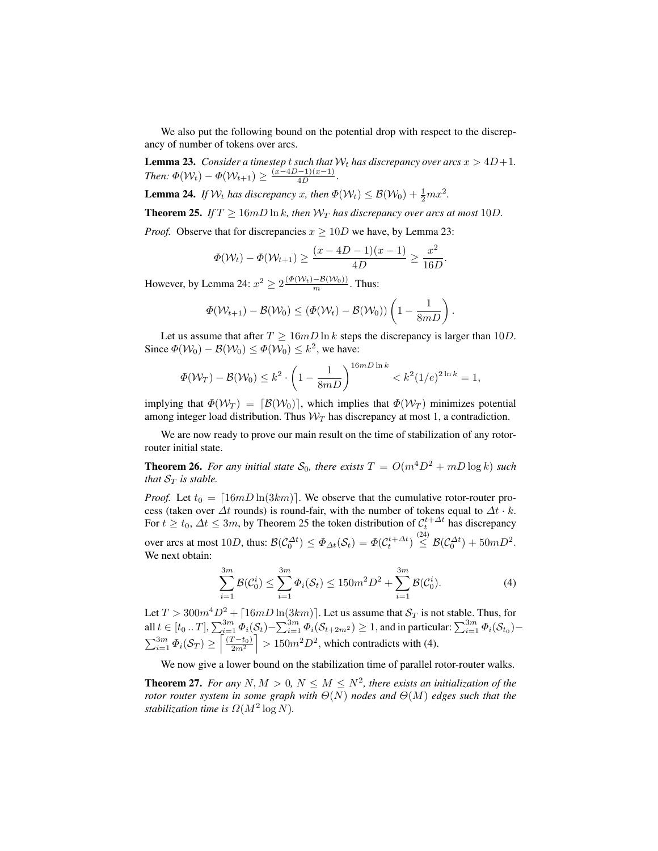We also put the following bound on the potential drop with respect to the discrepancy of number of tokens over arcs.

**Lemma 23.** *Consider a timestep* t *such that*  $W_t$  *has discrepancy over arcs*  $x > 4D+1$ *. Then:*  $\Phi(\mathcal{W}_t) - \Phi(\mathcal{W}_{t+1}) \geq \frac{(x-4D-1)(x-1)}{4D}$ .

**Lemma 24.** If  $W_t$  has discrepancy x, then  $\Phi(W_t) \leq \mathcal{B}(W_0) + \frac{1}{2}mx^2$ .

**Theorem 25.** *If*  $T \geq 16 \text{mD} \ln k$ *, then*  $W_T$  *has discrepancy over arcs at most* 10*D*.

*Proof.* Observe that for discrepancies  $x \geq 10D$  we have, by Lemma 23:

$$
\Phi(\mathcal{W}_t) - \Phi(\mathcal{W}_{t+1}) \ge \frac{(x - 4D - 1)(x - 1)}{4D} \ge \frac{x^2}{16D}.
$$

However, by Lemma 24:  $x^2 \ge 2 \frac{(\Phi(\mathcal{W}_t) - \mathcal{B}(\mathcal{W}_0))}{m}$ . Thus:

$$
\Phi(\mathcal{W}_{t+1}) - \mathcal{B}(\mathcal{W}_0) \leq (\Phi(\mathcal{W}_t) - \mathcal{B}(\mathcal{W}_0)) \left(1 - \frac{1}{8mD}\right).
$$

Let us assume that after  $T \ge 16mD \ln k$  steps the discrepancy is larger than 10D. Since  $\Phi(\mathcal{W}_0) - \mathcal{B}(\mathcal{W}_0) \leq \Phi(\mathcal{W}_0) \leq k^2$ , we have:

$$
\Phi(\mathcal{W}_T) - \mathcal{B}(\mathcal{W}_0) \le k^2 \cdot \left(1 - \frac{1}{8mD}\right)^{16mD\ln k} < k^2(1/e)^{2\ln k} = 1,
$$

implying that  $\Phi(\mathcal{W}_T) = [\mathcal{B}(\mathcal{W}_0)]$ , which implies that  $\Phi(\mathcal{W}_T)$  minimizes potential among integer load distribution. Thus  $W_T$  has discrepancy at most 1, a contradiction.

We are now ready to prove our main result on the time of stabilization of any rotorrouter initial state.

**Theorem 26.** For any initial state  $S_0$ , there exists  $T = O(m^4D^2 + mD\log k)$  such *that*  $S_T$  *is stable.* 

*Proof.* Let  $t_0 = \left[16mD\ln(3km)\right]$ . We observe that the cumulative rotor-router process (taken over  $\Delta t$  rounds) is round-fair, with the number of tokens equal to  $\Delta t \cdot k$ . For  $t \ge t_0$ ,  $\Delta t \le 3m$ , by Theorem 25 the token distribution of  $\mathcal{C}_t^{t + \Delta t}$  has discrepancy over arcs at most  $10D$ , thus:  $\mathcal{B}(\mathcal{C}_0^{\Delta t}) \leq \Phi_{\Delta t}(\mathcal{S}_t) = \Phi(\mathcal{C}_t^{t+\Delta t}) \stackrel{(24)}{\leq} \mathcal{B}(\mathcal{C}_0^{\Delta t}) + 50mD^2$ . We next obtain:

$$
\sum_{i=1}^{3m} \mathcal{B}(\mathcal{C}_0^i) \le \sum_{i=1}^{3m} \Phi_i(\mathcal{S}_t) \le 150m^2 D^2 + \sum_{i=1}^{3m} \mathcal{B}(\mathcal{C}_0^i).
$$
 (4)

Let  $T > 300m^4D^2 + \lfloor 16mD \ln(3km) \rfloor$ . Let us assume that  $S_T$  is not stable. Thus, for all  $t\in [t_0..T], \sum_{i=1}^{3m}\Phi_i(\mathcal{S}_t)-\sum_{i=1}^{3m}\Phi_i(\mathcal{S}_{t+2m^2})\geq 1,$  and in particular:  $\sum_{i=1}^{3m}\Phi_i(\mathcal{S}_{t_0}) \sum_{i=1}^{3m} \Phi_i(S_T) \ge \left\lceil \frac{(T-t_0)}{2m^2} \right\rceil > 150m^2D^2$ , which contradicts with (4).

We now give a lower bound on the stabilization time of parallel rotor-router walks.

**Theorem 27.** For any  $N, M > 0, N \leq M \leq N^2$ , there exists an initialization of the *rotor router system in some graph with* Θ(N) *nodes and* Θ(M) *edges such that the stabilization time is*  $\Omega(M^2 \log N)$ *.*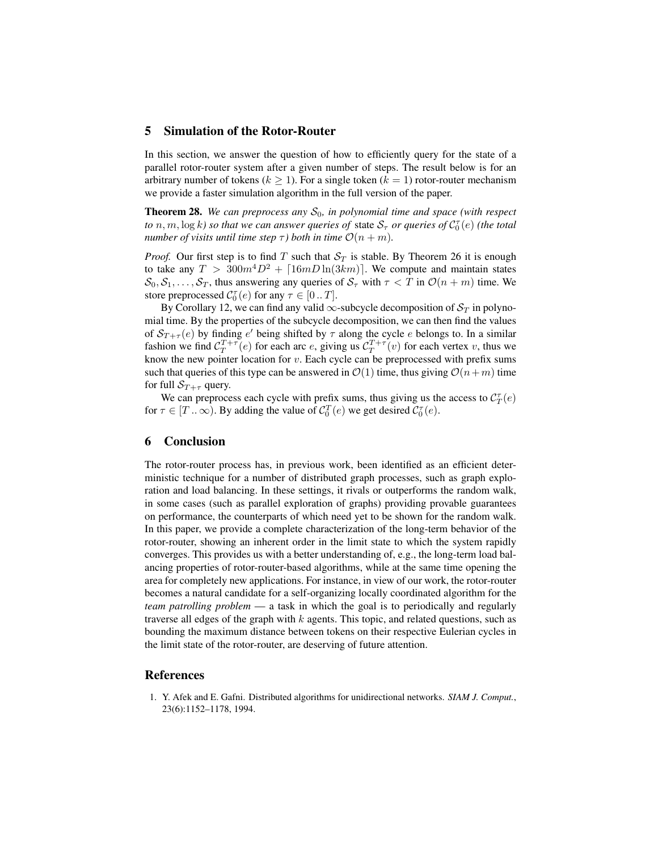# 5 Simulation of the Rotor-Router

In this section, we answer the question of how to efficiently query for the state of a parallel rotor-router system after a given number of steps. The result below is for an arbitrary number of tokens ( $k \ge 1$ ). For a single token ( $k = 1$ ) rotor-router mechanism we provide a faster simulation algorithm in the full version of the paper.

**Theorem 28.** *We can preprocess any*  $S_0$ *, in polynomial time and space (with respect to*  $n,m,\log k$ ) so that we can answer queries of state  $\mathcal{S}_{\tau}$  or queries of  $\mathcal{C}_0^{\tau}(e)$  (the total *number of visits until time step*  $\tau$ *) both in time*  $\mathcal{O}(n+m)$ *.* 

*Proof.* Our first step is to find T such that  $S_T$  is stable. By Theorem 26 it is enough to take any  $T > 300m^4D^2 + \lfloor 16mD \ln(3km) \rfloor$ . We compute and maintain states  $S_0, S_1, \ldots, S_T$ , thus answering any queries of  $S_{\tau}$  with  $\tau < T$  in  $\mathcal{O}(n+m)$  time. We store preprocessed  $C_0^{\tau}(e)$  for any  $\tau \in [0..T]$ .

By Corollary 12, we can find any valid  $\infty$ -subcycle decomposition of  $S_T$  in polynomial time. By the properties of the subcycle decomposition, we can then find the values of  $\mathcal{S}_{T+\tau}(e)$  by finding  $e'$  being shifted by  $\tau$  along the cycle  $e$  belongs to. In a similar fashion we find  $C_T^{T+\tau}(e)$  for each arc e, giving us  $C_T^{T+\tau}(v)$  for each vertex v, thus we know the new pointer location for  $v$ . Each cycle can be preprocessed with prefix sums such that queries of this type can be answered in  $\mathcal{O}(1)$  time, thus giving  $\mathcal{O}(n+m)$  time for full  $S_{T+\tau}$  query.

We can preprocess each cycle with prefix sums, thus giving us the access to  $C_T^{\tau}(e)$ for  $\tau \in [T \dots \infty)$ . By adding the value of  $C_0^T(e)$  we get desired  $C_0^T(e)$ .

# 6 Conclusion

The rotor-router process has, in previous work, been identified as an efficient deterministic technique for a number of distributed graph processes, such as graph exploration and load balancing. In these settings, it rivals or outperforms the random walk, in some cases (such as parallel exploration of graphs) providing provable guarantees on performance, the counterparts of which need yet to be shown for the random walk. In this paper, we provide a complete characterization of the long-term behavior of the rotor-router, showing an inherent order in the limit state to which the system rapidly converges. This provides us with a better understanding of, e.g., the long-term load balancing properties of rotor-router-based algorithms, while at the same time opening the area for completely new applications. For instance, in view of our work, the rotor-router becomes a natural candidate for a self-organizing locally coordinated algorithm for the *team patrolling problem* — a task in which the goal is to periodically and regularly traverse all edges of the graph with  $k$  agents. This topic, and related questions, such as bounding the maximum distance between tokens on their respective Eulerian cycles in the limit state of the rotor-router, are deserving of future attention.

#### References

1. Y. Afek and E. Gafni. Distributed algorithms for unidirectional networks. *SIAM J. Comput.*, 23(6):1152–1178, 1994.